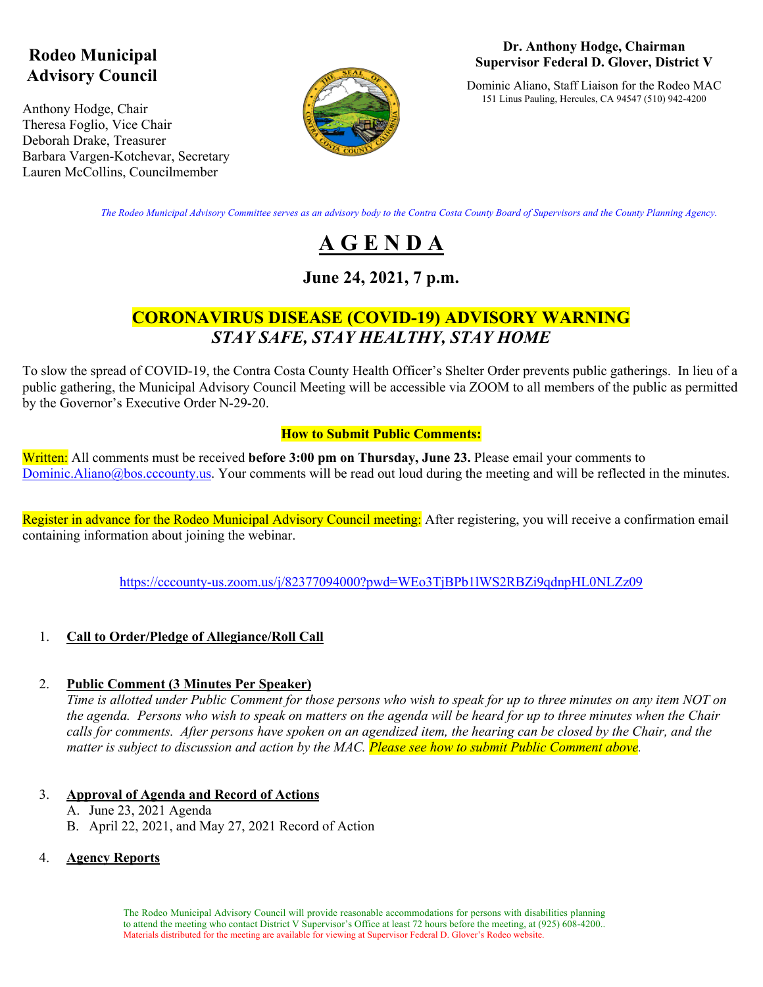## **Rodeo Municipal Advisory Council**

Anthony Hodge, Chair Theresa Foglio, Vice Chair Deborah Drake, Treasurer Barbara Vargen-Kotchevar, Secretary Lauren McCollins, Councilmember



#### **Dr. Anthony Hodge, Chairman Supervisor Federal D. Glover, District V**

Dominic Aliano, Staff Liaison for the Rodeo MAC 151 Linus Pauling, Hercules, CA 94547 (510) 942-4200

*The Rodeo Municipal Advisory Committee serves as an advisory body to the Contra Costa County Board of Supervisors and the County Planning Agency.*

# **A G E N D A**

### **June 24, 2021, 7 p.m.**

### **CORONAVIRUS DISEASE (COVID-19) ADVISORY WARNING** *STAY SAFE, STAY HEALTHY, STAY HOME*

To slow the spread of COVID-19, the Contra Costa County Health Officer's Shelter Order prevents public gatherings. In lieu of a public gathering, the Municipal Advisory Council Meeting will be accessible via ZOOM to all members of the public as permitted by the Governor's Executive Order N-29-20.

#### **How to Submit Public Comments:**

Written: All comments must be received **before 3:00 pm on Thursday, June 23.** Please email your comments to  $Dominic$ .Aliano@bos.cccounty.us. Your comments will be read out loud during the meeting and will be reflected in the minutes.

Register in advance for the Rodeo Municipal Advisory Council meeting: After registering, you will receive a confirmation email containing information about joining the webinar.

https://cccounty-us.zoom.us/j/82377094000?pwd=WEo3TjBPb1lWS2RBZi9qdnpHL0NLZz09

#### 1. **Call to Order/Pledge of Allegiance/Roll Call**

#### 2. **Public Comment (3 Minutes Per Speaker)**

*Time is allotted under Public Comment for those persons who wish to speak for up to three minutes on any item NOT on the agenda. Persons who wish to speak on matters on the agenda will be heard for up to three minutes when the Chair calls for comments. After persons have spoken on an agendized item, the hearing can be closed by the Chair, and the matter is subject to discussion and action by the MAC. Please see how to submit Public Comment above.* 

#### 3. **Approval of Agenda and Record of Actions**

- A. June 23, 2021 Agenda
- B. April 22, 2021, and May 27, 2021 Record of Action

#### 4. **Agency Reports**